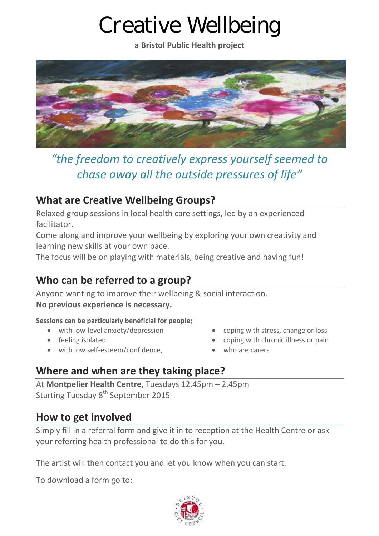# Creative Wellbeing

**a Bristol Public Health project**



*"the freedom to creatively express yourself seemed to chase away all the outside pressures of life"*

### **What are Creative Wellbeing Groups?**

Relaxed group sessions in local health care settings, led by an experienced facilitator.

Come along and improve your wellbeing by exploring your own creativity and learning new skills at your own pace.

The focus will be on playing with materials, being creative and having fun!

### **Who can be referred to a group?**

Anyone wanting to improve their wellbeing & social interaction. **No previous experience is necessary.**

**Sessions can be particularly beneficial for people;**

- with low-level anxiety/depression
- feeling isolated
- with low self-esteem/confidence,
- coping with stress, change or loss
- coping with chronic illness or pain
- who are carers

### **Where and when are they taking place?**

At **Montpelier Health Centre**, Tuesdays 12.45pm – 2.45pm Starting Tuesday 8<sup>th</sup> September 2015

#### **How to get involved**

Simply fill in a referral form and give it in to reception at the Health Centre or ask your referring health professional to do this for you.

The artist will then contact you and let you know when you can start.

To download a form go to: